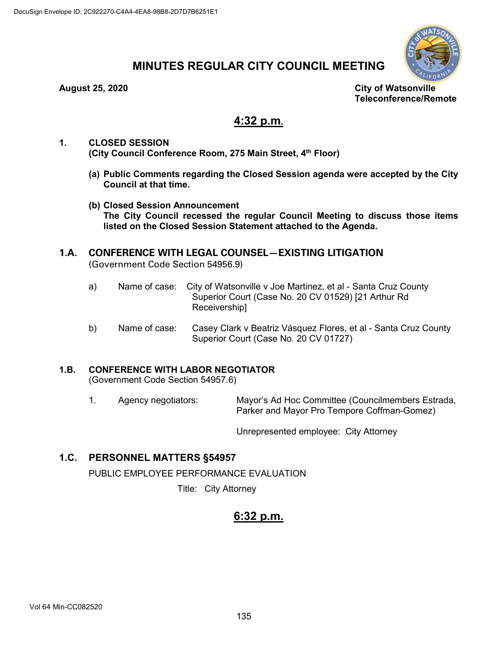

# **MINUTES REGULAR CITY COUNCIL MEETING**

**August 25, 2020 City of Watsonville Teleconference/Remote**

# **4:32 p.m.**

- **1. CLOSED SESSION (City Council Conference Room, 275 Main Street, 4th Floor)**
	- **(a) Public Comments regarding the Closed Session agenda were accepted by the City Council at that time.**
	- **(b) Closed Session Announcement The City Council recessed the regular Council Meeting to discuss those items listed on the Closed Session Statement attached to the Agenda.**

# **1.A. CONFERENCE WITH LEGAL COUNSEL—EXISTING LITIGATION** (Government Code Section 54956.9)

- a) Name of case: City of Watsonville v Joe Martinez, et al Santa Cruz County Superior Court (Case No. 20 CV 01529) [21 Arthur Rd Receivership]
- b) Name of case: Casey Clark v Beatriz Vásquez Flores, et al Santa Cruz County Superior Court (Case No. 20 CV 01727)

# **1.B. CONFERENCE WITH LABOR NEGOTIATOR**

(Government Code Section 54957.6)

1. Agency negotiators: Mayor's Ad Hoc Committee (Councilmembers Estrada, Parker and Mayor Pro Tempore Coffman-Gomez)

Unrepresented employee: City Attorney

# **1.C. PERSONNEL MATTERS §54957**

PUBLIC EMPLOYEE PERFORMANCE EVALUATION

Title: City Attorney

# **6:32 p.m.**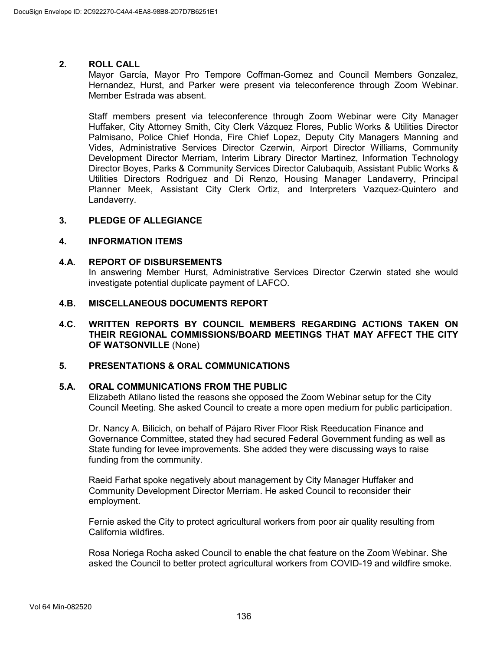#### **2. ROLL CALL**

Mayor García, Mayor Pro Tempore Coffman-Gomez and Council Members Gonzalez, Hernandez, Hurst, and Parker were present via teleconference through Zoom Webinar. Member Estrada was absent.

Staff members present via teleconference through Zoom Webinar were City Manager Huffaker, City Attorney Smith, City Clerk Vázquez Flores, Public Works & Utilities Director Palmisano, Police Chief Honda, Fire Chief Lopez, Deputy City Managers Manning and Vides, Administrative Services Director Czerwin, Airport Director Williams, Community Development Director Merriam, Interim Library Director Martinez, Information Technology Director Boyes, Parks & Community Services Director Calubaquib, Assistant Public Works & Utilities Directors Rodriguez and Di Renzo, Housing Manager Landaverry, Principal Planner Meek, Assistant City Clerk Ortiz, and Interpreters Vazquez-Quintero and Landaverry.

# **3. PLEDGE OF ALLEGIANCE**

#### **4. INFORMATION ITEMS**

#### **4.A. REPORT OF DISBURSEMENTS**

In answering Member Hurst, Administrative Services Director Czerwin stated she would investigate potential duplicate payment of LAFCO.

#### **4.B. MISCELLANEOUS DOCUMENTS REPORT**

**4.C. WRITTEN REPORTS BY COUNCIL MEMBERS REGARDING ACTIONS TAKEN ON THEIR REGIONAL COMMISSIONS/BOARD MEETINGS THAT MAY AFFECT THE CITY OF WATSONVILLE** (None)

## **5. PRESENTATIONS & ORAL COMMUNICATIONS**

#### **5.A. ORAL COMMUNICATIONS FROM THE PUBLIC**

Elizabeth Atilano listed the reasons she opposed the Zoom Webinar setup for the City Council Meeting. She asked Council to create a more open medium for public participation.

Dr. Nancy A. Bilicich, on behalf of Pájaro River Floor Risk Reeducation Finance and Governance Committee, stated they had secured Federal Government funding as well as State funding for levee improvements. She added they were discussing ways to raise funding from the community.

Raeid Farhat spoke negatively about management by City Manager Huffaker and Community Development Director Merriam. He asked Council to reconsider their employment.

Fernie asked the City to protect agricultural workers from poor air quality resulting from California wildfires.

Rosa Noriega Rocha asked Council to enable the chat feature on the Zoom Webinar. She asked the Council to better protect agricultural workers from COVID-19 and wildfire smoke.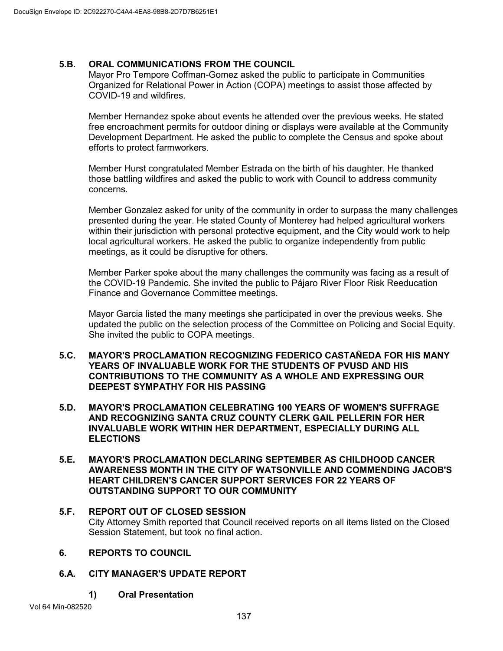# **5.B. ORAL COMMUNICATIONS FROM THE COUNCIL**

Mayor Pro Tempore Coffman-Gomez asked the public to participate in Communities Organized for Relational Power in Action (COPA) meetings to assist those affected by COVID-19 and wildfires.

Member Hernandez spoke about events he attended over the previous weeks. He stated free encroachment permits for outdoor dining or displays were available at the Community Development Department. He asked the public to complete the Census and spoke about efforts to protect farmworkers.

Member Hurst congratulated Member Estrada on the birth of his daughter. He thanked those battling wildfires and asked the public to work with Council to address community concerns.

Member Gonzalez asked for unity of the community in order to surpass the many challenges presented during the year. He stated County of Monterey had helped agricultural workers within their jurisdiction with personal protective equipment, and the City would work to help local agricultural workers. He asked the public to organize independently from public meetings, as it could be disruptive for others.

Member Parker spoke about the many challenges the community was facing as a result of the COVID-19 Pandemic. She invited the public to Pájaro River Floor Risk Reeducation Finance and Governance Committee meetings.

Mayor Garcia listed the many meetings she participated in over the previous weeks. She updated the public on the selection process of the Committee on Policing and Social Equity. She invited the public to COPA meetings.

### **5.C. MAYOR'S PROCLAMATION RECOGNIZING FEDERICO CASTAÑEDA FOR HIS MANY YEARS OF INVALUABLE WORK FOR THE STUDENTS OF PVUSD AND HIS CONTRIBUTIONS TO THE COMMUNITY AS A WHOLE AND EXPRESSING OUR DEEPEST SYMPATHY FOR HIS PASSING**

- **5.D. MAYOR'S PROCLAMATION CELEBRATING 100 YEARS OF WOMEN'S SUFFRAGE AND RECOGNIZING SANTA CRUZ COUNTY CLERK GAIL PELLERIN FOR HER INVALUABLE WORK WITHIN HER DEPARTMENT, ESPECIALLY DURING ALL ELECTIONS**
- **5.E. MAYOR'S PROCLAMATION DECLARING SEPTEMBER AS CHILDHOOD CANCER AWARENESS MONTH IN THE CITY OF WATSONVILLE AND COMMENDING JACOB'S HEART CHILDREN'S CANCER SUPPORT SERVICES FOR 22 YEARS OF OUTSTANDING SUPPORT TO OUR COMMUNITY**
- **5.F. REPORT OUT OF CLOSED SESSION** City Attorney Smith reported that Council received reports on all items listed on the Closed Session Statement, but took no final action.
- **6. REPORTS TO COUNCIL**
- **6.A. CITY MANAGER'S UPDATE REPORT**
	- **1) Oral Presentation**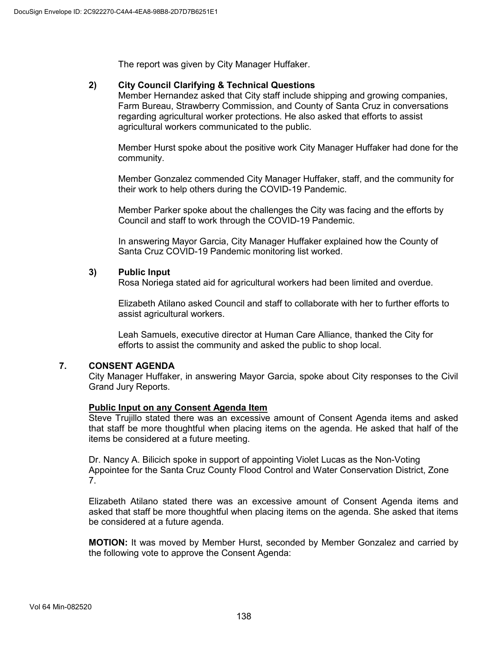The report was given by City Manager Huffaker.

# **2) City Council Clarifying & Technical Questions**

Member Hernandez asked that City staff include shipping and growing companies, Farm Bureau, Strawberry Commission, and County of Santa Cruz in conversations regarding agricultural worker protections. He also asked that efforts to assist agricultural workers communicated to the public.

Member Hurst spoke about the positive work City Manager Huffaker had done for the community.

Member Gonzalez commended City Manager Huffaker, staff, and the community for their work to help others during the COVID-19 Pandemic.

Member Parker spoke about the challenges the City was facing and the efforts by Council and staff to work through the COVID-19 Pandemic.

In answering Mayor Garcia, City Manager Huffaker explained how the County of Santa Cruz COVID-19 Pandemic monitoring list worked.

### **3) Public Input**

Rosa Noriega stated aid for agricultural workers had been limited and overdue.

Elizabeth Atilano asked Council and staff to collaborate with her to further efforts to assist agricultural workers.

Leah Samuels, executive director at Human Care Alliance, thanked the City for efforts to assist the community and asked the public to shop local.

# **7. CONSENT AGENDA**

City Manager Huffaker, in answering Mayor Garcia, spoke about City responses to the Civil Grand Jury Reports.

#### **Public Input on any Consent Agenda Item**

Steve Trujillo stated there was an excessive amount of Consent Agenda items and asked that staff be more thoughtful when placing items on the agenda. He asked that half of the items be considered at a future meeting.

Dr. Nancy A. Bilicich spoke in support of appointing Violet Lucas as the Non-Voting Appointee for the Santa Cruz County Flood Control and Water Conservation District, Zone 7.

Elizabeth Atilano stated there was an excessive amount of Consent Agenda items and asked that staff be more thoughtful when placing items on the agenda. She asked that items be considered at a future agenda.

**MOTION:** It was moved by Member Hurst, seconded by Member Gonzalez and carried by the following vote to approve the Consent Agenda: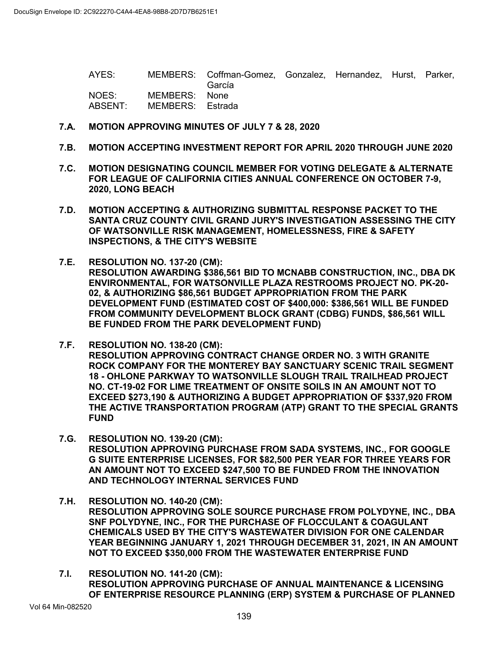AYES: MEMBERS: Coffman-Gomez, Gonzalez, Hernandez, Hurst, Parker, García<br>None NOES: MEMBERS: ABSENT: MEMBERS: Estrada

### **7.A. MOTION APPROVING MINUTES OF JULY 7 & 28, 2020**

- **7.B. MOTION ACCEPTING INVESTMENT REPORT FOR APRIL 2020 THROUGH JUNE 2020**
- **7.C. MOTION DESIGNATING COUNCIL MEMBER FOR VOTING DELEGATE & ALTERNATE FOR LEAGUE OF CALIFORNIA CITIES ANNUAL CONFERENCE ON OCTOBER 7-9, 2020, LONG BEACH**
- **7.D. MOTION ACCEPTING & AUTHORIZING SUBMITTAL RESPONSE PACKET TO THE SANTA CRUZ COUNTY CIVIL GRAND JURY'S INVESTIGATION ASSESSING THE CITY OF WATSONVILLE RISK MANAGEMENT, HOMELESSNESS, FIRE & SAFETY INSPECTIONS, & THE CITY'S WEBSITE**
- **7.E. RESOLUTION NO. 137-20 (CM): RESOLUTION AWARDING \$386,561 BID TO MCNABB CONSTRUCTION, INC., DBA DK ENVIRONMENTAL, FOR WATSONVILLE PLAZA RESTROOMS PROJECT NO. PK-20- 02, & AUTHORIZING \$86,561 BUDGET APPROPRIATION FROM THE PARK DEVELOPMENT FUND (ESTIMATED COST OF \$400,000: \$386,561 WILL BE FUNDED FROM COMMUNITY DEVELOPMENT BLOCK GRANT (CDBG) FUNDS, \$86,561 WILL BE FUNDED FROM THE PARK DEVELOPMENT FUND)**
- **7.F. RESOLUTION NO. 138-20 (CM): RESOLUTION APPROVING CONTRACT CHANGE ORDER NO. 3 WITH GRANITE ROCK COMPANY FOR THE MONTEREY BAY SANCTUARY SCENIC TRAIL SEGMENT 18 - OHLONE PARKWAY TO WATSONVILLE SLOUGH TRAIL TRAILHEAD PROJECT NO. CT-19-02 FOR LIME TREATMENT OF ONSITE SOILS IN AN AMOUNT NOT TO EXCEED \$273,190 & AUTHORIZING A BUDGET APPROPRIATION OF \$337,920 FROM THE ACTIVE TRANSPORTATION PROGRAM (ATP) GRANT TO THE SPECIAL GRANTS FUND**
- **7.G. RESOLUTION NO. 139-20 (CM): RESOLUTION APPROVING PURCHASE FROM SADA SYSTEMS, INC., FOR GOOGLE G SUITE ENTERPRISE LICENSES, FOR \$82,500 PER YEAR FOR THREE YEARS FOR AN AMOUNT NOT TO EXCEED \$247,500 TO BE FUNDED FROM THE INNOVATION AND TECHNOLOGY INTERNAL SERVICES FUND**
- **7.H. RESOLUTION NO. 140-20 (CM): RESOLUTION APPROVING SOLE SOURCE PURCHASE FROM POLYDYNE, INC., DBA SNF POLYDYNE, INC., FOR THE PURCHASE OF FLOCCULANT & COAGULANT CHEMICALS USED BY THE CITY'S WASTEWATER DIVISION FOR ONE CALENDAR YEAR BEGINNING JANUARY 1, 2021 THROUGH DECEMBER 31, 2021, IN AN AMOUNT NOT TO EXCEED \$350,000 FROM THE WASTEWATER ENTERPRISE FUND**
- **7.I. RESOLUTION NO. 141-20 (CM): RESOLUTION APPROVING PURCHASE OF ANNUAL MAINTENANCE & LICENSING OF ENTERPRISE RESOURCE PLANNING (ERP) SYSTEM & PURCHASE OF PLANNED**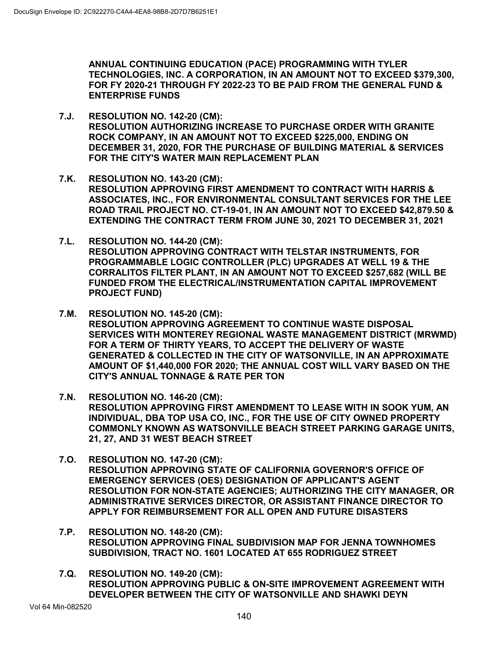**ANNUAL CONTINUING EDUCATION (PACE) PROGRAMMING WITH TYLER TECHNOLOGIES, INC. A CORPORATION, IN AN AMOUNT NOT TO EXCEED \$379,300, FOR FY 2020-21 THROUGH FY 2022-23 TO BE PAID FROM THE GENERAL FUND & ENTERPRISE FUNDS**

- **7.J. RESOLUTION NO. 142-20 (CM): RESOLUTION AUTHORIZING INCREASE TO PURCHASE ORDER WITH GRANITE ROCK COMPANY, IN AN AMOUNT NOT TO EXCEED \$225,000, ENDING ON DECEMBER 31, 2020, FOR THE PURCHASE OF BUILDING MATERIAL & SERVICES FOR THE CITY'S WATER MAIN REPLACEMENT PLAN**
- **7.K. RESOLUTION NO. 143-20 (CM): RESOLUTION APPROVING FIRST AMENDMENT TO CONTRACT WITH HARRIS & ASSOCIATES, INC., FOR ENVIRONMENTAL CONSULTANT SERVICES FOR THE LEE ROAD TRAIL PROJECT NO. CT-19-01, IN AN AMOUNT NOT TO EXCEED \$42,879.50 & EXTENDING THE CONTRACT TERM FROM JUNE 30, 2021 TO DECEMBER 31, 2021**
- **7.L. RESOLUTION NO. 144-20 (CM): RESOLUTION APPROVING CONTRACT WITH TELSTAR INSTRUMENTS, FOR PROGRAMMABLE LOGIC CONTROLLER (PLC) UPGRADES AT WELL 19 & THE CORRALITOS FILTER PLANT, IN AN AMOUNT NOT TO EXCEED \$257,682 (WILL BE FUNDED FROM THE ELECTRICAL/INSTRUMENTATION CAPITAL IMPROVEMENT PROJECT FUND)**
- **7.M. RESOLUTION NO. 145-20 (CM): RESOLUTION APPROVING AGREEMENT TO CONTINUE WASTE DISPOSAL SERVICES WITH MONTEREY REGIONAL WASTE MANAGEMENT DISTRICT (MRWMD) FOR A TERM OF THIRTY YEARS, TO ACCEPT THE DELIVERY OF WASTE GENERATED & COLLECTED IN THE CITY OF WATSONVILLE, IN AN APPROXIMATE AMOUNT OF \$1,440,000 FOR 2020; THE ANNUAL COST WILL VARY BASED ON THE CITY'S ANNUAL TONNAGE & RATE PER TON**
- **7.N. RESOLUTION NO. 146-20 (CM): RESOLUTION APPROVING FIRST AMENDMENT TO LEASE WITH IN SOOK YUM, AN INDIVIDUAL, DBA TOP USA CO, INC., FOR THE USE OF CITY OWNED PROPERTY COMMONLY KNOWN AS WATSONVILLE BEACH STREET PARKING GARAGE UNITS, 21, 27, AND 31 WEST BEACH STREET**
- **7.O. RESOLUTION NO. 147-20 (CM): RESOLUTION APPROVING STATE OF CALIFORNIA GOVERNOR'S OFFICE OF EMERGENCY SERVICES (OES) DESIGNATION OF APPLICANT'S AGENT RESOLUTION FOR NON-STATE AGENCIES; AUTHORIZING THE CITY MANAGER, OR ADMINISTRATIVE SERVICES DIRECTOR, OR ASSISTANT FINANCE DIRECTOR TO APPLY FOR REIMBURSEMENT FOR ALL OPEN AND FUTURE DISASTERS**
- **7.P. RESOLUTION NO. 148-20 (CM): RESOLUTION APPROVING FINAL SUBDIVISION MAP FOR JENNA TOWNHOMES SUBDIVISION, TRACT NO. 1601 LOCATED AT 655 RODRIGUEZ STREET**
- **7.Q. RESOLUTION NO. 149-20 (CM): RESOLUTION APPROVING PUBLIC & ON-SITE IMPROVEMENT AGREEMENT WITH DEVELOPER BETWEEN THE CITY OF WATSONVILLE AND SHAWKI DEYN**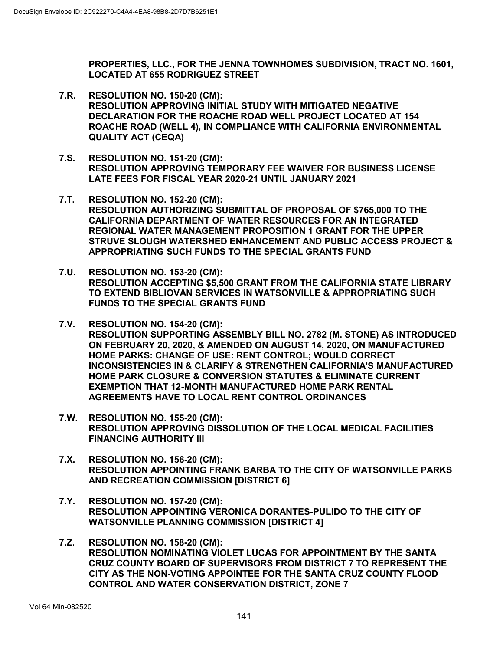**PROPERTIES, LLC., FOR THE JENNA TOWNHOMES SUBDIVISION, TRACT NO. 1601, LOCATED AT 655 RODRIGUEZ STREET**

- **7.R. RESOLUTION NO. 150-20 (CM): RESOLUTION APPROVING INITIAL STUDY WITH MITIGATED NEGATIVE DECLARATION FOR THE ROACHE ROAD WELL PROJECT LOCATED AT 154 ROACHE ROAD (WELL 4), IN COMPLIANCE WITH CALIFORNIA ENVIRONMENTAL QUALITY ACT (CEQA)**
- **7.S. RESOLUTION NO. 151-20 (CM): RESOLUTION APPROVING TEMPORARY FEE WAIVER FOR BUSINESS LICENSE LATE FEES FOR FISCAL YEAR 2020-21 UNTIL JANUARY 2021**
- **7.T. RESOLUTION NO. 152-20 (CM): RESOLUTION AUTHORIZING SUBMITTAL OF PROPOSAL OF \$765,000 TO THE CALIFORNIA DEPARTMENT OF WATER RESOURCES FOR AN INTEGRATED REGIONAL WATER MANAGEMENT PROPOSITION 1 GRANT FOR THE UPPER STRUVE SLOUGH WATERSHED ENHANCEMENT AND PUBLIC ACCESS PROJECT & APPROPRIATING SUCH FUNDS TO THE SPECIAL GRANTS FUND**
- **7.U. RESOLUTION NO. 153-20 (CM): RESOLUTION ACCEPTING \$5,500 GRANT FROM THE CALIFORNIA STATE LIBRARY TO EXTEND BIBLIOVAN SERVICES IN WATSONVILLE & APPROPRIATING SUCH FUNDS TO THE SPECIAL GRANTS FUND**
- **7.V. RESOLUTION NO. 154-20 (CM): RESOLUTION SUPPORTING ASSEMBLY BILL NO. 2782 (M. STONE) AS INTRODUCED ON FEBRUARY 20, 2020, & AMENDED ON AUGUST 14, 2020, ON MANUFACTURED HOME PARKS: CHANGE OF USE: RENT CONTROL; WOULD CORRECT INCONSISTENCIES IN & CLARIFY & STRENGTHEN CALIFORNIA'S MANUFACTURED HOME PARK CLOSURE & CONVERSION STATUTES & ELIMINATE CURRENT EXEMPTION THAT 12-MONTH MANUFACTURED HOME PARK RENTAL AGREEMENTS HAVE TO LOCAL RENT CONTROL ORDINANCES**
- **7.W. RESOLUTION NO. 155-20 (CM): RESOLUTION APPROVING DISSOLUTION OF THE LOCAL MEDICAL FACILITIES FINANCING AUTHORITY III**
- **7.X. RESOLUTION NO. 156-20 (CM): RESOLUTION APPOINTING FRANK BARBA TO THE CITY OF WATSONVILLE PARKS AND RECREATION COMMISSION [DISTRICT 6]**
- **7.Y. RESOLUTION NO. 157-20 (CM): RESOLUTION APPOINTING VERONICA DORANTES-PULIDO TO THE CITY OF WATSONVILLE PLANNING COMMISSION [DISTRICT 4]**
- **7.Z. RESOLUTION NO. 158-20 (CM): RESOLUTION NOMINATING VIOLET LUCAS FOR APPOINTMENT BY THE SANTA CRUZ COUNTY BOARD OF SUPERVISORS FROM DISTRICT 7 TO REPRESENT THE CITY AS THE NON-VOTING APPOINTEE FOR THE SANTA CRUZ COUNTY FLOOD CONTROL AND WATER CONSERVATION DISTRICT, ZONE 7**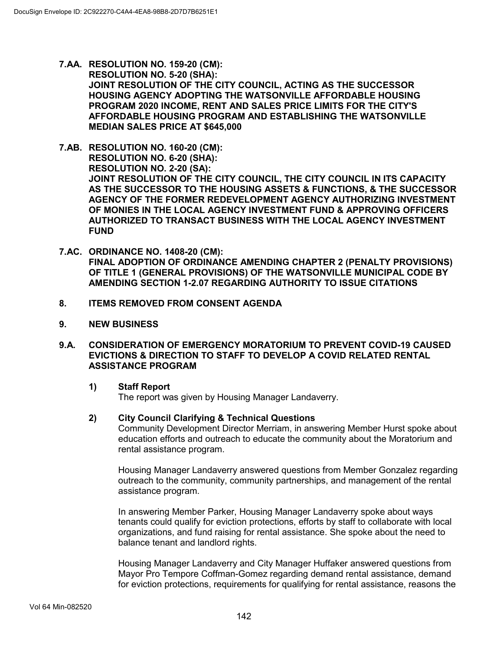- **7.AA. RESOLUTION NO. 159-20 (CM): RESOLUTION NO. 5-20 (SHA): JOINT RESOLUTION OF THE CITY COUNCIL, ACTING AS THE SUCCESSOR HOUSING AGENCY ADOPTING THE WATSONVILLE AFFORDABLE HOUSING PROGRAM 2020 INCOME, RENT AND SALES PRICE LIMITS FOR THE CITY'S AFFORDABLE HOUSING PROGRAM AND ESTABLISHING THE WATSONVILLE MEDIAN SALES PRICE AT \$645,000**
- **7.AB. RESOLUTION NO. 160-20 (CM): RESOLUTION NO. 6-20 (SHA): RESOLUTION NO. 2-20 (SA): JOINT RESOLUTION OF THE CITY COUNCIL, THE CITY COUNCIL IN ITS CAPACITY AS THE SUCCESSOR TO THE HOUSING ASSETS & FUNCTIONS, & THE SUCCESSOR AGENCY OF THE FORMER REDEVELOPMENT AGENCY AUTHORIZING INVESTMENT OF MONIES IN THE LOCAL AGENCY INVESTMENT FUND & APPROVING OFFICERS AUTHORIZED TO TRANSACT BUSINESS WITH THE LOCAL AGENCY INVESTMENT FUND**
- **7.AC. ORDINANCE NO. 1408-20 (CM): FINAL ADOPTION OF ORDINANCE AMENDING CHAPTER 2 (PENALTY PROVISIONS) OF TITLE 1 (GENERAL PROVISIONS) OF THE WATSONVILLE MUNICIPAL CODE BY AMENDING SECTION 1-2.07 REGARDING AUTHORITY TO ISSUE CITATIONS**
- **8. ITEMS REMOVED FROM CONSENT AGENDA**
- **9. NEW BUSINESS**

### **9.A. CONSIDERATION OF EMERGENCY MORATORIUM TO PREVENT COVID-19 CAUSED EVICTIONS & DIRECTION TO STAFF TO DEVELOP A COVID RELATED RENTAL ASSISTANCE PROGRAM**

# **1) Staff Report**

The report was given by Housing Manager Landaverry.

# **2) City Council Clarifying & Technical Questions**

Community Development Director Merriam, in answering Member Hurst spoke about education efforts and outreach to educate the community about the Moratorium and rental assistance program.

Housing Manager Landaverry answered questions from Member Gonzalez regarding outreach to the community, community partnerships, and management of the rental assistance program.

In answering Member Parker, Housing Manager Landaverry spoke about ways tenants could qualify for eviction protections, efforts by staff to collaborate with local organizations, and fund raising for rental assistance. She spoke about the need to balance tenant and landlord rights.

Housing Manager Landaverry and City Manager Huffaker answered questions from Mayor Pro Tempore Coffman-Gomez regarding demand rental assistance, demand for eviction protections, requirements for qualifying for rental assistance, reasons the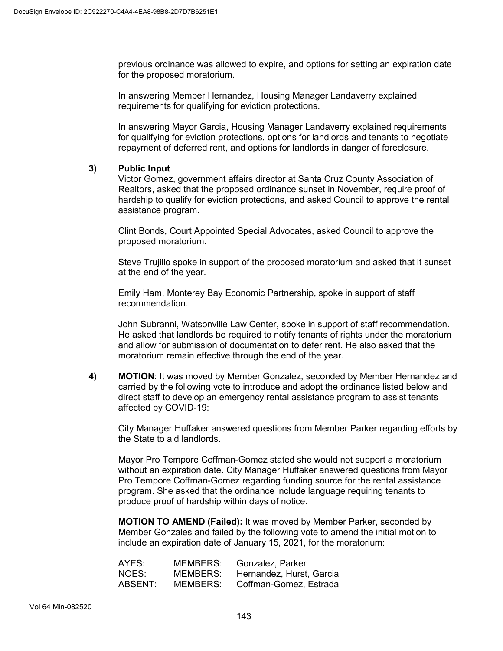previous ordinance was allowed to expire, and options for setting an expiration date for the proposed moratorium.

In answering Member Hernandez, Housing Manager Landaverry explained requirements for qualifying for eviction protections.

In answering Mayor Garcia, Housing Manager Landaverry explained requirements for qualifying for eviction protections, options for landlords and tenants to negotiate repayment of deferred rent, and options for landlords in danger of foreclosure.

# **3) Public Input**

Victor Gomez, government affairs director at Santa Cruz County Association of Realtors, asked that the proposed ordinance sunset in November, require proof of hardship to qualify for eviction protections, and asked Council to approve the rental assistance program.

Clint Bonds, Court Appointed Special Advocates, asked Council to approve the proposed moratorium.

Steve Trujillo spoke in support of the proposed moratorium and asked that it sunset at the end of the year.

Emily Ham, Monterey Bay Economic Partnership, spoke in support of staff recommendation.

John Subranni, Watsonville Law Center, spoke in support of staff recommendation. He asked that landlords be required to notify tenants of rights under the moratorium and allow for submission of documentation to defer rent. He also asked that the moratorium remain effective through the end of the year.

**4) MOTION**: It was moved by Member Gonzalez, seconded by Member Hernandez and carried by the following vote to introduce and adopt the ordinance listed below and direct staff to develop an emergency rental assistance program to assist tenants affected by COVID-19:

City Manager Huffaker answered questions from Member Parker regarding efforts by the State to aid landlords.

Mayor Pro Tempore Coffman-Gomez stated she would not support a moratorium without an expiration date. City Manager Huffaker answered questions from Mayor Pro Tempore Coffman-Gomez regarding funding source for the rental assistance program. She asked that the ordinance include language requiring tenants to produce proof of hardship within days of notice.

**MOTION TO AMEND (Failed):** It was moved by Member Parker, seconded by Member Gonzales and failed by the following vote to amend the initial motion to include an expiration date of January 15, 2021, for the moratorium:

| AYES:   | MEMBERS: | Gonzalez, Parker         |
|---------|----------|--------------------------|
| NOES:   | MEMBERS: | Hernandez, Hurst, Garcia |
| ABSENT: | MEMBERS: | Coffman-Gomez, Estrada   |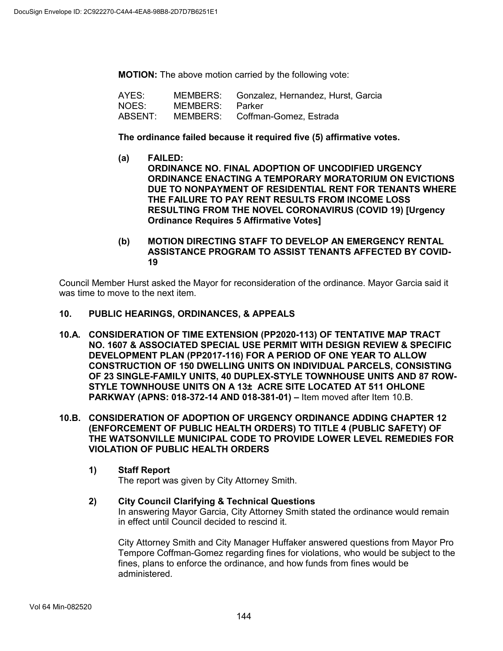**MOTION:** The above motion carried by the following vote:

| AYES:   |                 | MEMBERS: Gonzalez, Hernandez, Hurst, Garcia |
|---------|-----------------|---------------------------------------------|
| NOES:   | MEMBERS: Parker |                                             |
| ABSENT: |                 | MEMBERS: Coffman-Gomez, Estrada             |

#### **The ordinance failed because it required five (5) affirmative votes.**

- **(a) FAILED: ORDINANCE NO. FINAL ADOPTION OF UNCODIFIED URGENCY ORDINANCE ENACTING A TEMPORARY MORATORIUM ON EVICTIONS DUE TO NONPAYMENT OF RESIDENTIAL RENT FOR TENANTS WHERE THE FAILURE TO PAY RENT RESULTS FROM INCOME LOSS RESULTING FROM THE NOVEL CORONAVIRUS (COVID 19) [Urgency Ordinance Requires 5 Affirmative Votes]**
- **(b) MOTION DIRECTING STAFF TO DEVELOP AN EMERGENCY RENTAL ASSISTANCE PROGRAM TO ASSIST TENANTS AFFECTED BY COVID-19**

Council Member Hurst asked the Mayor for reconsideration of the ordinance. Mayor Garcia said it was time to move to the next item.

- **10. PUBLIC HEARINGS, ORDINANCES, & APPEALS**
- **10.A. CONSIDERATION OF TIME EXTENSION (PP2020-113) OF TENTATIVE MAP TRACT NO. 1607 & ASSOCIATED SPECIAL USE PERMIT WITH DESIGN REVIEW & SPECIFIC DEVELOPMENT PLAN (PP2017-116) FOR A PERIOD OF ONE YEAR TO ALLOW CONSTRUCTION OF 150 DWELLING UNITS ON INDIVIDUAL PARCELS, CONSISTING OF 23 SINGLE-FAMILY UNITS, 40 DUPLEX-STYLE TOWNHOUSE UNITS AND 87 ROW-STYLE TOWNHOUSE UNITS ON A 13± ACRE SITE LOCATED AT 511 OHLONE PARKWAY (APNS: 018-372-14 AND 018-381-01) –** Item moved after Item 10.B.
- **10.B. CONSIDERATION OF ADOPTION OF URGENCY ORDINANCE ADDING CHAPTER 12 (ENFORCEMENT OF PUBLIC HEALTH ORDERS) TO TITLE 4 (PUBLIC SAFETY) OF THE WATSONVILLE MUNICIPAL CODE TO PROVIDE LOWER LEVEL REMEDIES FOR VIOLATION OF PUBLIC HEALTH ORDERS**
	- **1) Staff Report**

The report was given by City Attorney Smith.

**2) City Council Clarifying & Technical Questions**  In answering Mayor Garcia, City Attorney Smith stated the ordinance would remain in effect until Council decided to rescind it.

City Attorney Smith and City Manager Huffaker answered questions from Mayor Pro Tempore Coffman-Gomez regarding fines for violations, who would be subject to the fines, plans to enforce the ordinance, and how funds from fines would be administered.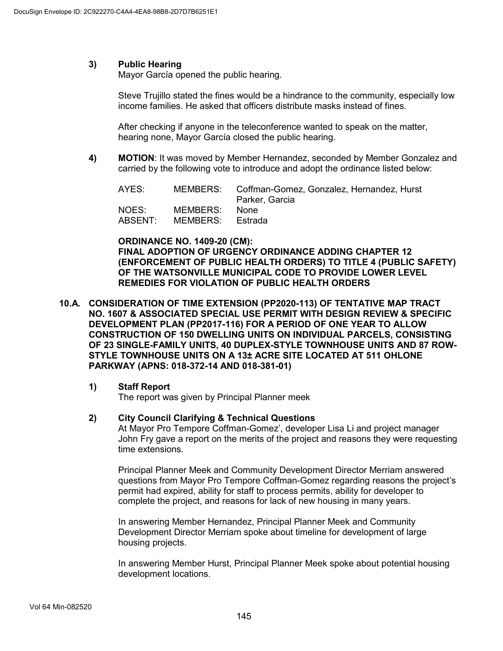## **3) Public Hearing**

Mayor García opened the public hearing.

Steve Trujillo stated the fines would be a hindrance to the community, especially low income families. He asked that officers distribute masks instead of fines.

After checking if anyone in the teleconference wanted to speak on the matter, hearing none, Mayor García closed the public hearing.

**4) MOTION**: It was moved by Member Hernandez, seconded by Member Gonzalez and carried by the following vote to introduce and adopt the ordinance listed below:

| AYES:            |                              | MEMBERS: Coffman-Gomez, Gonzalez, Hernandez, Hurst<br>Parker, Garcia |
|------------------|------------------------------|----------------------------------------------------------------------|
| NOES:<br>ABSENT: | MEMBERS:<br>MEMBERS: Estrada | None                                                                 |

### **ORDINANCE NO. 1409-20 (CM): FINAL ADOPTION OF URGENCY ORDINANCE ADDING CHAPTER 12 (ENFORCEMENT OF PUBLIC HEALTH ORDERS) TO TITLE 4 (PUBLIC SAFETY) OF THE WATSONVILLE MUNICIPAL CODE TO PROVIDE LOWER LEVEL REMEDIES FOR VIOLATION OF PUBLIC HEALTH ORDERS**

**10.A. CONSIDERATION OF TIME EXTENSION (PP2020-113) OF TENTATIVE MAP TRACT NO. 1607 & ASSOCIATED SPECIAL USE PERMIT WITH DESIGN REVIEW & SPECIFIC DEVELOPMENT PLAN (PP2017-116) FOR A PERIOD OF ONE YEAR TO ALLOW CONSTRUCTION OF 150 DWELLING UNITS ON INDIVIDUAL PARCELS, CONSISTING OF 23 SINGLE-FAMILY UNITS, 40 DUPLEX-STYLE TOWNHOUSE UNITS AND 87 ROW-STYLE TOWNHOUSE UNITS ON A 13± ACRE SITE LOCATED AT 511 OHLONE PARKWAY (APNS: 018-372-14 AND 018-381-01)**

# **1) Staff Report**

The report was given by Principal Planner meek

#### **2) City Council Clarifying & Technical Questions**

At Mayor Pro Tempore Coffman-Gomez', developer Lisa Li and project manager John Fry gave a report on the merits of the project and reasons they were requesting time extensions.

Principal Planner Meek and Community Development Director Merriam answered questions from Mayor Pro Tempore Coffman-Gomez regarding reasons the project's permit had expired, ability for staff to process permits, ability for developer to complete the project, and reasons for lack of new housing in many years.

In answering Member Hernandez, Principal Planner Meek and Community Development Director Merriam spoke about timeline for development of large housing projects.

In answering Member Hurst, Principal Planner Meek spoke about potential housing development locations.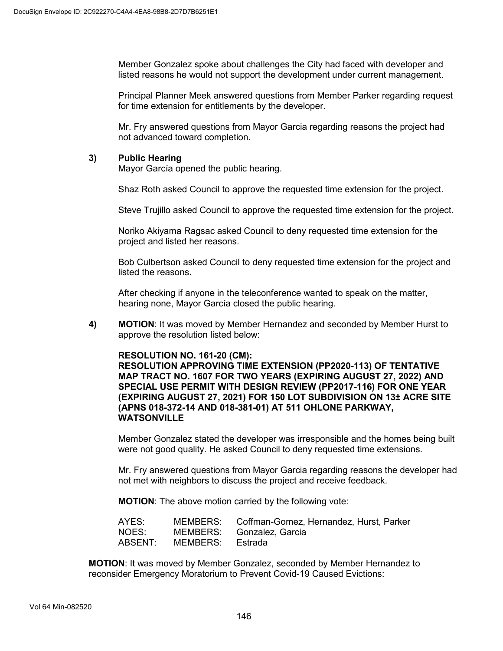Member Gonzalez spoke about challenges the City had faced with developer and listed reasons he would not support the development under current management.

Principal Planner Meek answered questions from Member Parker regarding request for time extension for entitlements by the developer.

Mr. Fry answered questions from Mayor Garcia regarding reasons the project had not advanced toward completion.

#### **3) Public Hearing**

Mayor García opened the public hearing.

Shaz Roth asked Council to approve the requested time extension for the project.

Steve Trujillo asked Council to approve the requested time extension for the project.

Noriko Akiyama Ragsac asked Council to deny requested time extension for the project and listed her reasons.

Bob Culbertson asked Council to deny requested time extension for the project and listed the reasons.

After checking if anyone in the teleconference wanted to speak on the matter, hearing none, Mayor García closed the public hearing.

**4) MOTION**: It was moved by Member Hernandez and seconded by Member Hurst to approve the resolution listed below:

#### **RESOLUTION NO. 161-20 (CM):**

**RESOLUTION APPROVING TIME EXTENSION (PP2020-113) OF TENTATIVE MAP TRACT NO. 1607 FOR TWO YEARS (EXPIRING AUGUST 27, 2022) AND SPECIAL USE PERMIT WITH DESIGN REVIEW (PP2017-116) FOR ONE YEAR (EXPIRING AUGUST 27, 2021) FOR 150 LOT SUBDIVISION ON 13± ACRE SITE (APNS 018-372-14 AND 018-381-01) AT 511 OHLONE PARKWAY, WATSONVILLE**

Member Gonzalez stated the developer was irresponsible and the homes being built were not good quality. He asked Council to deny requested time extensions.

Mr. Fry answered questions from Mayor Garcia regarding reasons the developer had not met with neighbors to discuss the project and receive feedback.

**MOTION**: The above motion carried by the following vote:

| AYES: |                          | MEMBERS: Coffman-Gomez, Hernandez, Hurst, Parker |
|-------|--------------------------|--------------------------------------------------|
| NOES: |                          | MEMBERS: Gonzalez, Garcia                        |
|       | ABSENT: MEMBERS: Estrada |                                                  |

**MOTION**: It was moved by Member Gonzalez, seconded by Member Hernandez to reconsider Emergency Moratorium to Prevent Covid-19 Caused Evictions: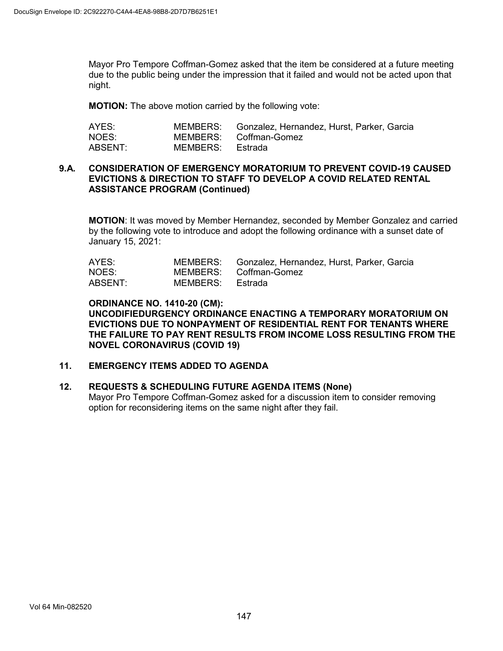Mayor Pro Tempore Coffman-Gomez asked that the item be considered at a future meeting due to the public being under the impression that it failed and would not be acted upon that night.

**MOTION:** The above motion carried by the following vote:

| AYES:   |                  | MEMBERS: Gonzalez, Hernandez, Hurst, Parker, Garcia |
|---------|------------------|-----------------------------------------------------|
| NOES:   |                  | MEMBERS: Coffman-Gomez                              |
| ABSENT: | MEMBERS: Estrada |                                                     |

### **9.A. CONSIDERATION OF EMERGENCY MORATORIUM TO PREVENT COVID-19 CAUSED EVICTIONS & DIRECTION TO STAFF TO DEVELOP A COVID RELATED RENTAL ASSISTANCE PROGRAM (Continued)**

**MOTION**: It was moved by Member Hernandez, seconded by Member Gonzalez and carried by the following vote to introduce and adopt the following ordinance with a sunset date of January 15, 2021:

| AYES:   |                  | MEMBERS: Gonzalez, Hernandez, Hurst, Parker, Garcia |
|---------|------------------|-----------------------------------------------------|
| NOES:   |                  | MEMBERS: Coffman-Gomez                              |
| ABSENT: | MEMBERS: Estrada |                                                     |

**ORDINANCE NO. 1410-20 (CM): UNCODIFIEDURGENCY ORDINANCE ENACTING A TEMPORARY MORATORIUM ON EVICTIONS DUE TO NONPAYMENT OF RESIDENTIAL RENT FOR TENANTS WHERE THE FAILURE TO PAY RENT RESULTS FROM INCOME LOSS RESULTING FROM THE NOVEL CORONAVIRUS (COVID 19)**

#### **11. EMERGENCY ITEMS ADDED TO AGENDA**

#### **12. REQUESTS & SCHEDULING FUTURE AGENDA ITEMS (None)**

Mayor Pro Tempore Coffman-Gomez asked for a discussion item to consider removing option for reconsidering items on the same night after they fail.